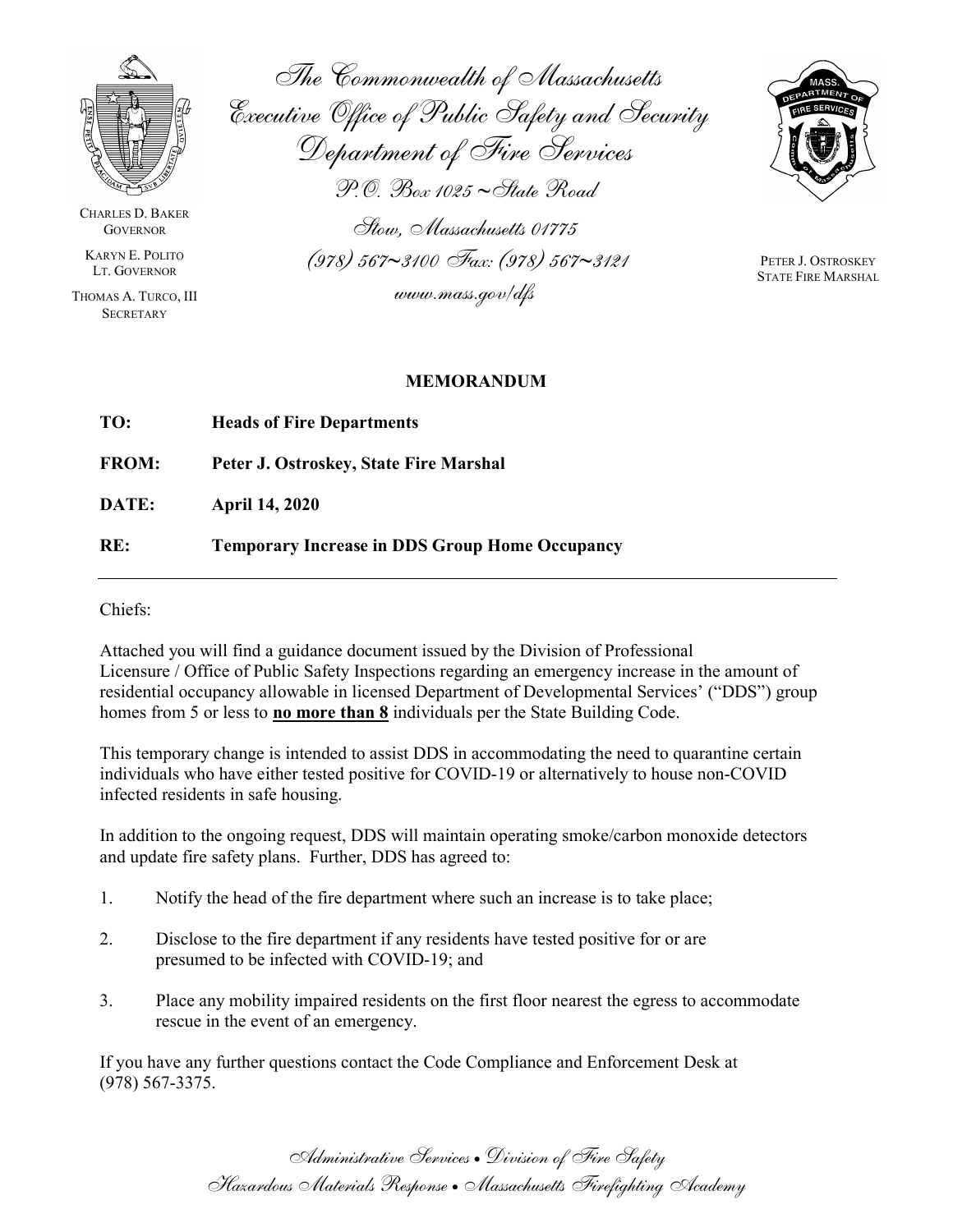

CHARLES D. BAKER **GOVERNOR** 

KARYN E. POLITO LT. GOVERNOR

THOMAS A. TURCO, III **SECRETARY** 

The Commonwealth of Massachusetts Executive Office of Public Safety and Security Department of Fire Services  $P$ .O. Box 1025 ~ State Road

Stow, Massachusetts 01775  $(978)$  567~3100 Fax: (978) 567~3121 www.mass.gov/dfs



PETER J. OSTROSKEY STATE FIRE MARSHAL

## MEMORANDUM

| TO:          | <b>Heads of Fire Departments</b>                      |
|--------------|-------------------------------------------------------|
| <b>FROM:</b> | Peter J. Ostroskey, State Fire Marshal                |
| DATE:        | <b>April 14, 2020</b>                                 |
| RE:          | <b>Temporary Increase in DDS Group Home Occupancy</b> |

Chiefs:

Attached you will find a guidance document issued by the Division of Professional Licensure / Office of Public Safety Inspections regarding an emergency increase in the amount of residential occupancy allowable in licensed Department of Developmental Services' ("DDS") group homes from 5 or less to **no more than 8** individuals per the State Building Code.

This temporary change is intended to assist DDS in accommodating the need to quarantine certain individuals who have either tested positive for COVID-19 or alternatively to house non-COVID infected residents in safe housing.

In addition to the ongoing request, DDS will maintain operating smoke/carbon monoxide detectors and update fire safety plans. Further, DDS has agreed to:

- 1. Notify the head of the fire department where such an increase is to take place;
- 2. Disclose to the fire department if any residents have tested positive for or are presumed to be infected with COVID-19; and
- 3. Place any mobility impaired residents on the first floor nearest the egress to accommodate rescue in the event of an emergency.

If you have any further questions contact the Code Compliance and Enforcement Desk at (978) 567-3375.

> Administrative Services Division of Fire Safety Hazardous Materials Response Massachusetts Firefighting Academy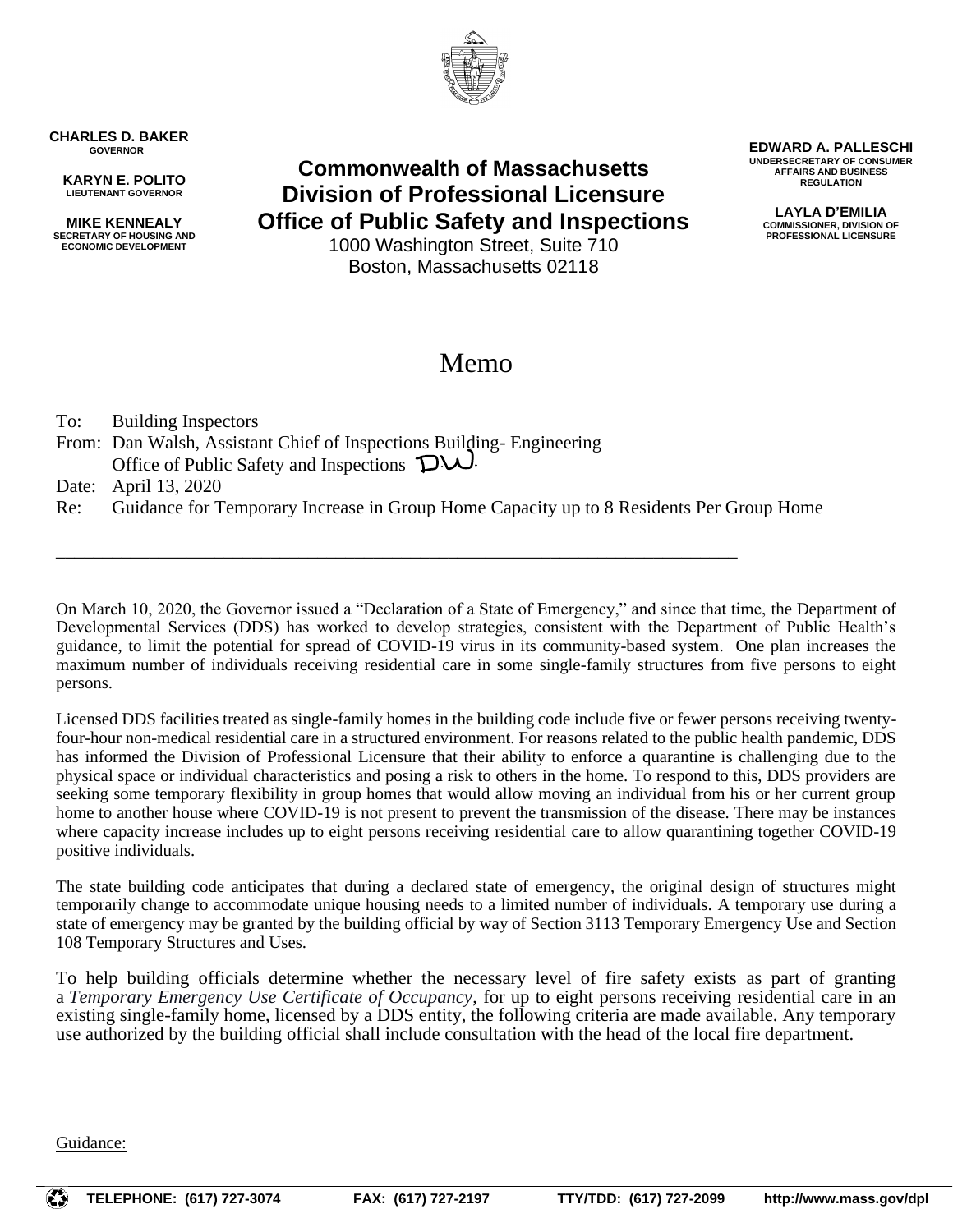

**CHARLES D. BAKER GOVERNOR**

**KARYN E. POLITO LIEUTENANT GOVERNOR**

**MIKE KENNEALY SECRETARY OF HOUSING AND ECONOMIC DEVELOPMENT**

**Commonwealth of Massachusetts Division of Professional Licensure Office of Public Safety and Inspections**

1000 Washington Street, Suite 710 Boston, Massachusetts 02118

## Memo

To: Building Inspectors

From: Dan Walsh, Assistant Chief of Inspections Building- Engineering Office of Public Safety and Inspections  $\mathbf{D}\cup\mathbf{D}$ .

Date: April 13, 2020

Re: Guidance for Temporary Increase in Group Home Capacity up to 8 Residents Per Group Home

\_\_\_\_\_\_\_\_\_\_\_\_\_\_\_\_\_\_\_\_\_\_\_\_\_\_\_\_\_\_\_\_\_\_\_\_\_\_\_\_\_\_\_\_\_\_\_\_\_\_\_\_\_\_\_\_\_\_\_\_\_\_\_\_\_\_\_\_\_\_\_\_\_

On March 10, 2020, the Governor issued a "Declaration of a State of Emergency," and since that time, the Department of Developmental Services (DDS) has worked to develop strategies, consistent with the Department of Public Health's guidance, to limit the potential for spread of COVID-19 virus in its community-based system. One plan increases the maximum number of individuals receiving residential care in some single-family structures from five persons to eight persons.

Licensed DDS facilities treated as single-family homes in the building code include five or fewer persons receiving twentyfour-hour non-medical residential care in a structured environment. For reasons related to the public health pandemic, DDS has informed the Division of Professional Licensure that their ability to enforce a quarantine is challenging due to the physical space or individual characteristics and posing a risk to others in the home. To respond to this, DDS providers are seeking some temporary flexibility in group homes that would allow moving an individual from his or her current group home to another house where COVID-19 is not present to prevent the transmission of the disease. There may be instances where capacity increase includes up to eight persons receiving residential care to allow quarantining together COVID-19 positive individuals.

The state building code anticipates that during a declared state of emergency, the original design of structures might temporarily change to accommodate unique housing needs to a limited number of individuals. A temporary use during a state of emergency may be granted by the building official by way of Section 3113 Temporary Emergency Use and Section 108 Temporary Structures and Uses.

To help building officials determine whether the necessary level of fire safety exists as part of granting a *Temporary Emergency Use Certificate of Occupancy*, for up to eight persons receiving residential care in an existing single-family home, licensed by a DDS entity, the following criteria are made available. Any temporary use authorized by the building official shall include consultation with the head of the local fire department.

Guidance:

**EDWARD A. PALLESCHI UNDERSECRETARY OF CONSUMER AFFAIRS AND BUSINESS REGULATION**

**LAYLA D'EMILIA COMMISSIONER, DIVISION OF PROFESSIONAL LICENSURE**